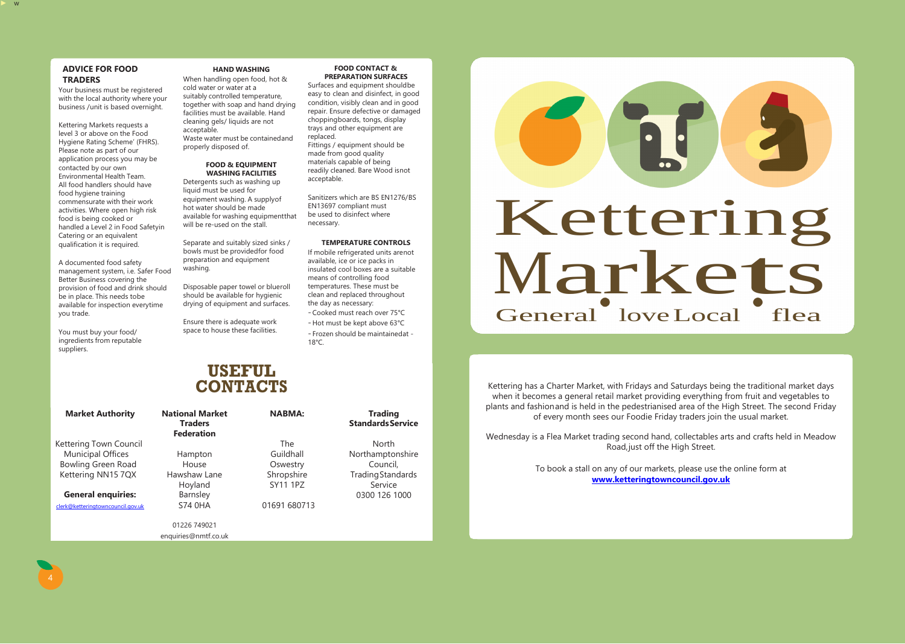► w

### **ADVICE FOR FOOD TRADERS**

Your business must be registered with the local authority where your business /unit is based overnight.

Kettering Markets requests a level 3 or above on the Food Hygiene Rating Scheme' (FHRS). Please note as part of our application process you may be contacted by our own Environmental Health Team. All food handlers should have food hygiene training commensurate with their work activities. Where open high risk food is being cooked or handled a Level 2 in Food Safetyin Catering or an equivalent qualification it is required.

A documented food safety management system, i.e. Safer Food Better Business covering the provision of food and drink should be in place. This needs tobe available for inspection everytime you trade.

You must buy your food/ ingredients from reputable suppliers.

### **HAND WASHING**

When handling open food, hot & cold water or water at a suitably controlled temperature, together with soap and hand drying facilities must be available. Hand cleaning gels/ liquids are not acceptable. Waste water must be containedand properly disposed of.

### **FOOD & EQUIPMENT WASHING FACILITIES**

Detergents such as washing up liquid must be used for equipment washing. A supplyof hot water should be made available for washing equipmentthat will be re-used on the stall.

Separate and suitably sized sinks / bowls must be providedfor food preparation and equipment washing.

# Kettering Kettering<br>Markets<br><sup>General</sup> loveLocal flea

Disposable paper towel or blueroll should be available for hygienic drying of equipment and surfaces.

Ensure there is adequate work space to house these facilities.

### **FOOD CONTACT & PREPARATION SURFACES**

Surfaces and equipment shouldbe easy to clean and disinfect, in good condition, visibly clean and in good repair. Ensure defective or damaged choppingboards, tongs, display trays and other equipment are replaced.

Fittings / equipment should be made from good quality materials capable of being readily cleaned. Bare Wood isnot acceptable.

Sanitizers which are BS EN1276/BS EN13697 compliant must be used to disinfect where necessary.

### **TEMPERATURE CONTROLS**

If mobile refrigerated units arenot available, ice or ice packs in insulated cool boxes are a suitable means of controlling food temperatures. These must be clean and replaced throughout the day as necessary:

- Cooked must reach over 75°C - Hot must be kept above 63°C

- Frozen should be maintainedat - 18°C.

**USEFUL**

**CONTACTS**

### **Market Authority**

Kettering Town Council Municipal Offices Bowling Green Road Kettering NN15 7QX

**General enquiries:**

[clerk@ketteringtowncouncil.gov.uk](mailto:clerk@ketteringtowncouncil.gov.uk)

**National Market Traders Federation**

Hampton House Hawshaw Lane Hoyland Barnsley S74 0HA

01226 749021 [enquiries@nmtf.co.uk](mailto:enquiries@nmtf.co.uk) **NABMA:**

The Guildhall **Oswestry** Shropshire SY11 1PZ

01691 680713

### **Trading**

### **StandardsService**

North Northamptonshire Council, TradingStandards Service 0300 126 1000

Kettering has a Charter Market, with Fridays and Saturdays being the traditional market days when it becomes a general retail market providing everything from fruit and vegetables to plants and fashionand is held in the pedestrianised area of the High Street. The second Friday of every month sees our Foodie Friday traders join the usual market.

Wednesday is a Flea Market trading second hand, collectables arts and crafts held in Meadow Road,just off the High Street.

> To book a stall on any of our markets, please use the online form at **[www.ketteringtowncouncil.gov.uk](http://www.ketteringtowncouncil.gov.uk/)**